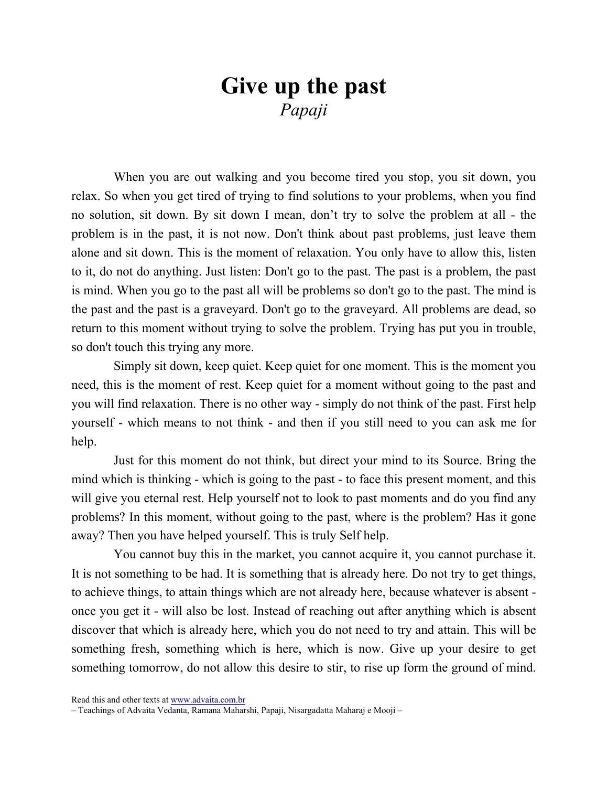## Give up the past Papaji

When you are out walking and you become tired you stop, you sit down, you relax. So when you get tired of trying to find solutions to your problems, when you find no solution, sit down. By sit down I mean, don't try to solve the problem at all - the problem is in the past, it is not now. Don't think about past problems, just leave them alone and sit down. This is the moment of relaxation. You only have to allow this, listen to it, do not do anything. Just listen: Don't go to the past. The past is a problem, the past is mind. When you go to the past all will be problems so don't go to the past. The mind is the past and the past is a graveyard. Don't go to the graveyard. All problems are dead, so return to this moment without trying to solve the problem. Trying has put you in trouble, so don't touch this trying any more.

Simply sit down, keep quiet. Keep quiet for one moment. This is the moment you need, this is the moment of rest. Keep quiet for a moment without going to the past and you will find relaxation. There is no other way - simply do not think of the past. First help yourself - which means to not think - and then if you still need to you can ask me for help.

Just for this moment do not think, but direct your mind to its Source. Bring the mind which is thinking - which is going to the past - to face this present moment, and this will give you eternal rest. Help yourself not to look to past moments and do you find any problems? In this moment, without going to the past, where is the problem? Has it gone away? Then you have helped yourself. This is truly Self help.

You cannot buy this in the market, you cannot acquire it, you cannot purchase it. It is not something to be had. It is something that is already here. Do not try to get things, to achieve things, to attain things which are not already here, because whatever is absent once you get it - will also be lost. Instead of reaching out after anything which is absent discover that which is already here, which you do not need to try and attain. This will be something fresh, something which is here, which is now. Give up your desire to get something tomorrow, do not allow this desire to stir, to rise up form the ground of mind.

Read this and other texts at www.advaita.com.br

<sup>–</sup> Teachings of Advaita Vedanta, Ramana Maharshi, Papaji, Nisargadatta Maharaj e Mooji –